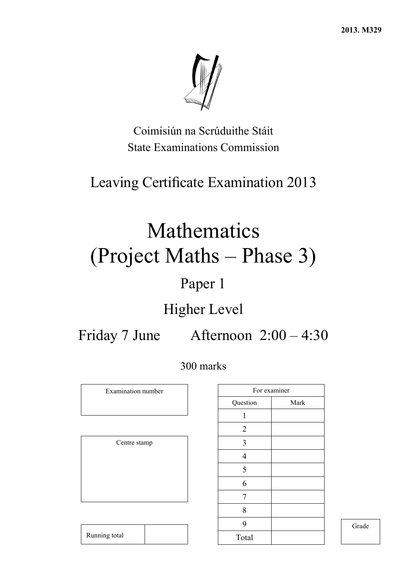**2013. M329** 



Coimisiún na Scrúduithe Stáit State Examinations Commission

## Leaving Certificate Examination 2013

# Mathematics (Project Maths – Phase 3)

## Paper 1

## Higher Level

Friday 7 June Afternoon 2:00 – 4:30

## 300 marks

Examination number

Centre stamp

|                | For examiner |
|----------------|--------------|
| Question       | Mark         |
| 1              |              |
| $\overline{2}$ |              |
| 3              |              |
| $\overline{4}$ |              |
| 5              |              |
| 6              |              |
| 7              |              |
| 8              |              |
| 9              |              |
| Total          |              |
|                |              |

Grade

Running total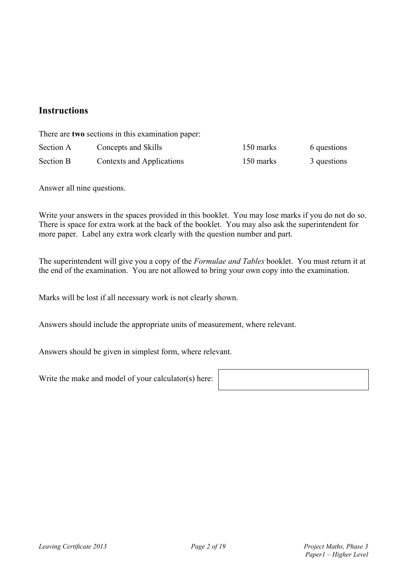### **Instructions**

There are **two** sections in this examination paper:

| Section A | Concepts and Skills       | 150 marks | 6 questions |
|-----------|---------------------------|-----------|-------------|
| Section B | Contexts and Applications | 150 marks | 3 questions |

Answer all nine questions.

Write your answers in the spaces provided in this booklet. You may lose marks if you do not do so. There is space for extra work at the back of the booklet. You may also ask the superintendent for more paper. Label any extra work clearly with the question number and part.

The superintendent will give you a copy of the *Formulae and Tables* booklet. You must return it at the end of the examination. You are not allowed to bring your own copy into the examination.

Marks will be lost if all necessary work is not clearly shown.

Answers should include the appropriate units of measurement, where relevant.

Answers should be given in simplest form, where relevant.

Write the make and model of your calculator(s) here: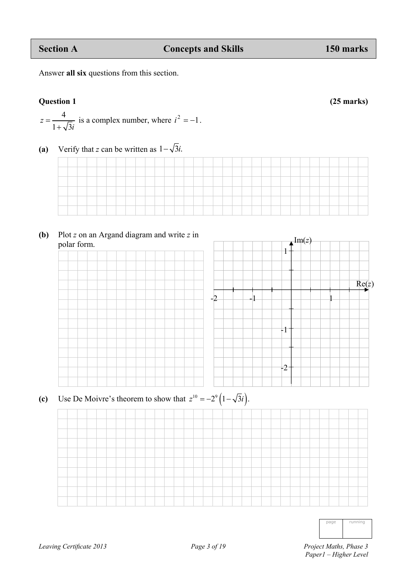Answer **all six** questions from this section.

**Question 1 (25 marks)** 

- 4  $1 + \sqrt{3}$  $z = \frac{4}{1 + \sqrt{3}i}$  is a complex number, where  $i^2 = -1$ .
- **(a)** Verify that *z* can be written as  $1-\sqrt{3}i$ .

**(b)** Plot *z* on an Argand diagram and write *z* in polar form.



(c) Use De Moivre's theorem to show that  $z^{10} = -2^9 (1 - \sqrt{3}i)$ .

| unnir.<br>٦<br>ı<br>٦<br>ı<br>٠<br>и<br>I |
|-------------------------------------------|
|-------------------------------------------|

 *Paper1 – Higher Level*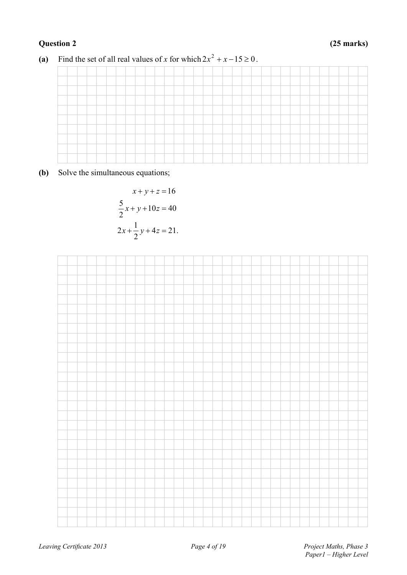

(a) Find the set of all real values of *x* for which  $2x^2 + x - 15 \ge 0$ .

**(b)** Solve the simultaneous equations;

$$
x + y + z = 16
$$
  
\n
$$
\frac{5}{2}x + y + 10z = 40
$$
  
\n
$$
2x + \frac{1}{2}y + 4z = 21.
$$

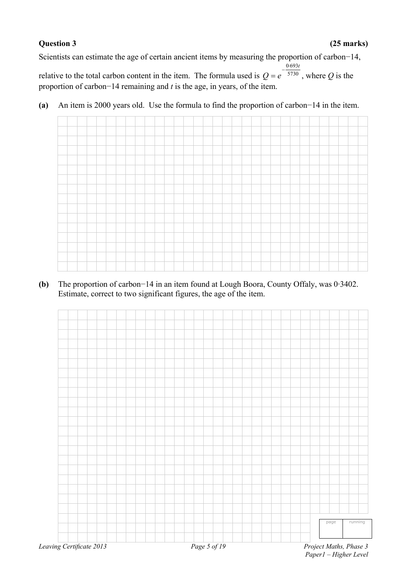### **Question 3 (25 marks)**

Scientists can estimate the age of certain ancient items by measuring the proportion of carbon−14,

relative to the total carbon content in the item. The formula used is  $Q = e^{-5730}$ 0 693*t*  $-\frac{0}{2}$  $= e^{-5730}$ , where *Q* is the proportion of carbon−14 remaining and *t* is the age, in years, of the item.

**(a)** An item is 2000 years old. Use the formula to find the proportion of carbon−14 in the item.



**(b)** The proportion of carbon−14 in an item found at Lough Boora, County Offaly, was 0·3402. Estimate, correct to two significant figures, the age of the item.



*Paper1 – Higher Level*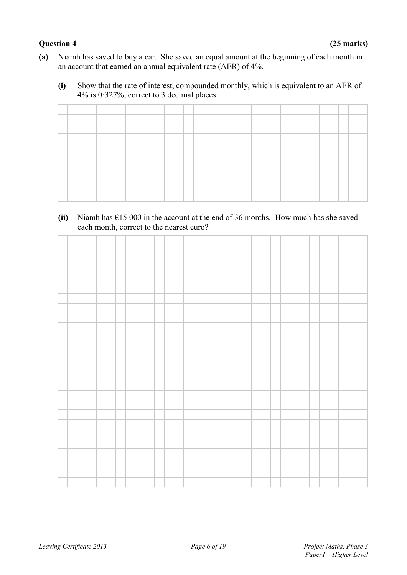- **(a)** Niamh has saved to buy a car. She saved an equal amount at the beginning of each month in an account that earned an annual equivalent rate (AER) of 4%.
	- **(i)** Show that the rate of interest, compounded monthly, which is equivalent to an AER of 4% is 0‧327%, correct to 3 decimal places.

**(ii)** Niamh has €15 000 in the account at the end of 36 months. How much has she saved each month, correct to the nearest euro?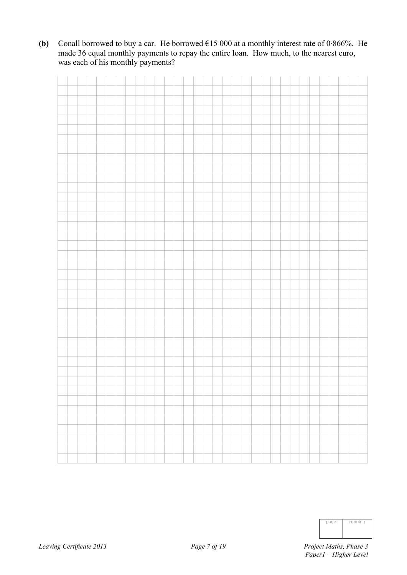**(b)** Conall borrowed to buy a car. He borrowed €15 000 at a monthly interest rate of 0·866%. He made 36 equal monthly payments to repay the entire loan. How much, to the nearest euro, was each of his monthly payments?

|  |  |  |  |  | <u> Tantar Tanzania (</u> |  |  |  |  | <u> Time and the second second</u> |  | चनन | T. |  |  |  |  |
|--|--|--|--|--|---------------------------|--|--|--|--|------------------------------------|--|-----|----|--|--|--|--|

| page | running |
|------|---------|
|      |         |
|      |         |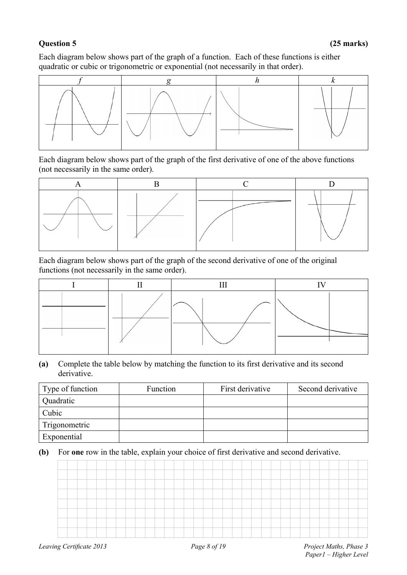### **Question 5 (25 marks)**

Each diagram below shows part of the graph of a function. Each of these functions is either quadratic or cubic or trigonometric or exponential (not necessarily in that order).



Each diagram below shows part of the graph of the first derivative of one of the above functions (not necessarily in the same order).



Each diagram below shows part of the graph of the second derivative of one of the original functions (not necessarily in the same order).

### **(a)** Complete the table below by matching the function to its first derivative and its second derivative.

| Type of function | Function | First derivative | Second derivative |
|------------------|----------|------------------|-------------------|
| Quadratic        |          |                  |                   |
| Cubic            |          |                  |                   |
| Trigonometric    |          |                  |                   |
| Exponential      |          |                  |                   |

### **(b)** For **one** row in the table, explain your choice of first derivative and second derivative.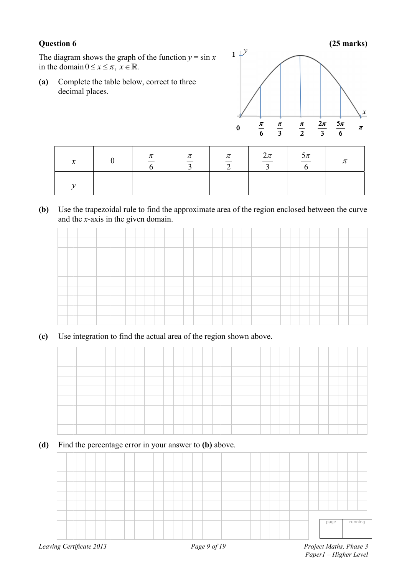### **Question 6 6**

**( (25 marks)**

The diagram shows the graph of the function  $y = \sin x$ in the domain  $0 \le x \le \pi$ ,  $x \in \mathbb{R}$ .

(a) Complete the table below, correct to three decimal places.



| v<br>$\boldsymbol{\mathcal{N}}$ | $\pi$ | $\pi$ | $\pi$ | $\frac{2\pi}{\pi}$ | $\frac{5\pi}{4}$ | π |
|---------------------------------|-------|-------|-------|--------------------|------------------|---|
|                                 |       |       |       |                    |                  |   |

(b) Use the trapezoidal rule to find the approximate area of the region enclosed between the curve and the *x*-axis in the given domain.



(c) Use integration to find the actual area of the region shown above.



(**d**) Find the percentage error in your answer to **(b)** above.

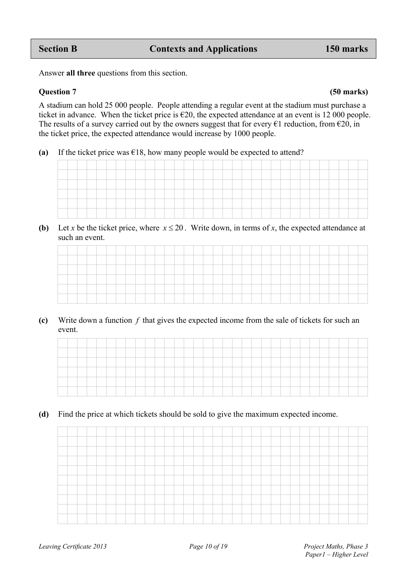Answer **all three** questions from this section.

### **Question 7 (50 marks)**

A stadium can hold 25 000 people. People attending a regular event at the stadium must purchase a ticket in advance. When the ticket price is  $\epsilon$ 20, the expected attendance at an event is 12 000 people. The results of a survey carried out by the owners suggest that for every  $\epsilon$ 1 reduction, from  $\epsilon$ 20, in the ticket price, the expected attendance would increase by 1000 people.

(a) If the ticket price was  $\epsilon$ 18, how many people would be expected to attend?



**(b)** Let *x* be the ticket price, where  $x \le 20$ . Write down, in terms of *x*, the expected attendance at such an event.

**(c)** Write down a function *f* that gives the expected income from the sale of tickets for such an event.

**(d)** Find the price at which tickets should be sold to give the maximum expected income.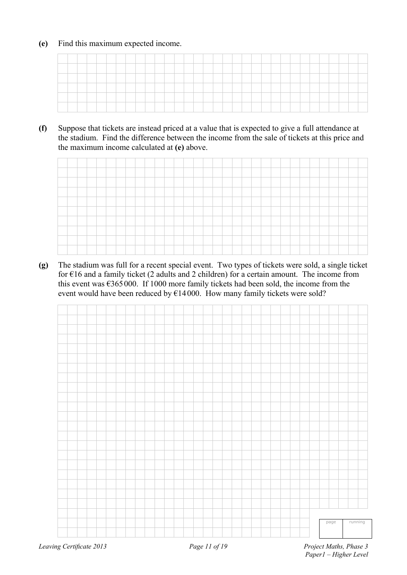### **(e)** Find this maximum expected income.

**(f)** Suppose that tickets are instead priced at a value that is expected to give a full attendance at the stadium. Find the difference between the income from the sale of tickets at this price and the maximum income calculated at **(e)** above.



**(g)** The stadium was full for a recent special event. Two types of tickets were sold, a single ticket for  $\epsilon$ 16 and a family ticket (2 adults and 2 children) for a certain amount. The income from this event was  $6365000$ . If 1000 more family tickets had been sold, the income from the event would have been reduced by  $E14000$ . How many family tickets were sold?

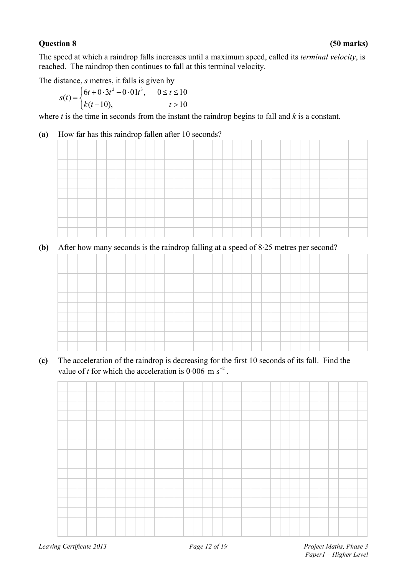### **Question 8 (50 marks)**

The speed at which a raindrop falls increases until a maximum speed, called its *terminal velocity*, is reached. The raindrop then continues to fall at this terminal velocity.

The distance, *s* metres, it falls is given by

$$
s(t) = \begin{cases} 6t + 0.3t^2 - 0.01t^3, & 0 \le t \le 10 \\ k(t-10), & t > 10 \end{cases}
$$

where *t* is the time in seconds from the instant the raindrop begins to fall and *k* is a constant.

### **(a)** How far has this raindrop fallen after 10 seconds?



**(b)** After how many seconds is the raindrop falling at a speed of 8·25 metres per second?



**(c)** The acceleration of the raindrop is decreasing for the first 10 seconds of its fall. Find the value of *t* for which the acceleration is  $0.006 \text{ m s}^{-2}$ .

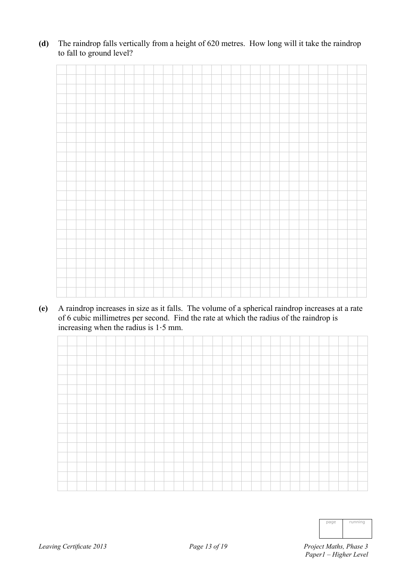**(d)** The raindrop falls vertically from a height of 620 metres. How long will it take the raindrop to fall to ground level?

**(e)** A raindrop increases in size as it falls. The volume of a spherical raindrop increases at a rate of 6 cubic millimetres per second. Find the rate at which the radius of the raindrop is increasing when the radius is 1‧5 mm.



| page | running |
|------|---------|
|      |         |
|      |         |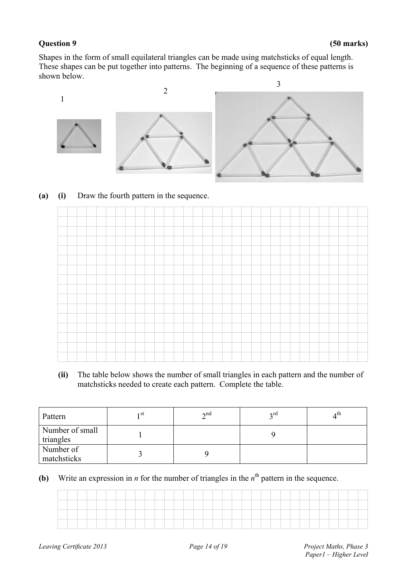### **Question 9**



### **(a) (i)** Draw the fourth pattern in the sequence.

|                     | n below.      |                                          |  |                 |                |  |                 |  |  |                                                                | 3 |  |                                                                                              |  |
|---------------------|---------------|------------------------------------------|--|-----------------|----------------|--|-----------------|--|--|----------------------------------------------------------------|---|--|----------------------------------------------------------------------------------------------|--|
|                     |               |                                          |  |                 | $\overline{2}$ |  |                 |  |  |                                                                |   |  |                                                                                              |  |
|                     |               |                                          |  |                 |                |  |                 |  |  |                                                                |   |  |                                                                                              |  |
| (i)                 |               | Draw the fourth pattern in the sequence. |  |                 |                |  |                 |  |  |                                                                |   |  |                                                                                              |  |
|                     |               |                                          |  |                 |                |  |                 |  |  |                                                                |   |  |                                                                                              |  |
|                     |               |                                          |  |                 |                |  |                 |  |  |                                                                |   |  |                                                                                              |  |
|                     |               |                                          |  |                 |                |  |                 |  |  |                                                                |   |  |                                                                                              |  |
|                     |               |                                          |  |                 |                |  |                 |  |  |                                                                |   |  |                                                                                              |  |
|                     |               |                                          |  |                 |                |  |                 |  |  |                                                                |   |  |                                                                                              |  |
|                     |               |                                          |  |                 |                |  |                 |  |  |                                                                |   |  |                                                                                              |  |
|                     |               |                                          |  |                 |                |  |                 |  |  |                                                                |   |  |                                                                                              |  |
|                     |               |                                          |  |                 |                |  |                 |  |  |                                                                |   |  |                                                                                              |  |
|                     |               |                                          |  |                 |                |  |                 |  |  |                                                                |   |  |                                                                                              |  |
| (ii)                |               |                                          |  |                 |                |  |                 |  |  | matchsticks needed to create each pattern. Complete the table. |   |  | The table below shows the number of small triangles in each pattern and the number of        |  |
| ern                 |               |                                          |  | 1 <sup>st</sup> |                |  | 2 <sup>nd</sup> |  |  | $3^{\text{rd}}$                                                |   |  | 4 <sup>th</sup>                                                                              |  |
| ngles               | nber of small |                                          |  | 1               |                |  |                 |  |  | 9                                                              |   |  |                                                                                              |  |
| nber of<br>chsticks |               |                                          |  | $\overline{3}$  |                |  | 9               |  |  |                                                                |   |  |                                                                                              |  |
|                     |               |                                          |  |                 |                |  |                 |  |  |                                                                |   |  | Write an expression in $n$ for the number of triangles in the $nth$ pattern in the sequence. |  |
|                     |               |                                          |  |                 |                |  |                 |  |  |                                                                |   |  |                                                                                              |  |
|                     |               |                                          |  |                 |                |  |                 |  |  |                                                                |   |  |                                                                                              |  |

| Pattern                      | ı St | $\lambda$ nd | 2 <sub>rd</sub> | ႔ Մ. |
|------------------------------|------|--------------|-----------------|------|
| Number of small<br>triangles |      |              |                 |      |
| Number of<br>matchsticks     |      |              |                 |      |

**(b)** Write an expression in *n* for the number of triangles in the  $n^{\text{th}}$  pattern in the sequence.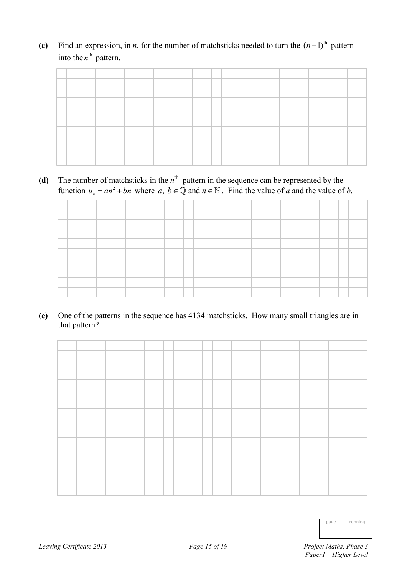(c) Find an expression, in *n*, for the number of matchsticks needed to turn the  $(n-1)$ <sup>th</sup> pattern into the  $n^{\text{th}}$  pattern.

(d) The number of matchsticks in the  $n<sup>th</sup>$  pattern in the sequence can be represented by the function  $u_n = an^2 + bn$  where  $a, b \in \mathbb{Q}$  and  $n \in \mathbb{N}$ . Find the value of *a* and the value of *b*.

**(e)** One of the patterns in the sequence has 4134 matchsticks. How many small triangles are in that pattern?



| page | running |
|------|---------|
|      |         |
|      |         |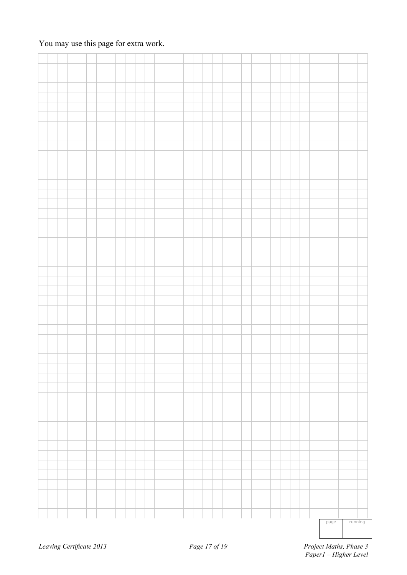|  |  |  |  |  |  |  |  |  |  |  |  |  |  |  | page | running |  |
|--|--|--|--|--|--|--|--|--|--|--|--|--|--|--|------|---------|--|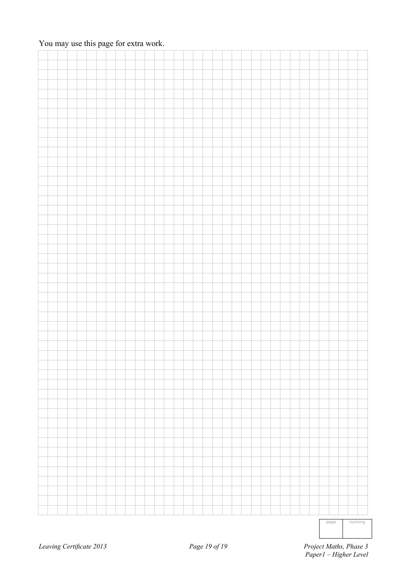|  |  |  |  |  |  |  |  |  |  |  |  |  |  | − | ┯ |  |
|--|--|--|--|--|--|--|--|--|--|--|--|--|--|---|---|--|

page running